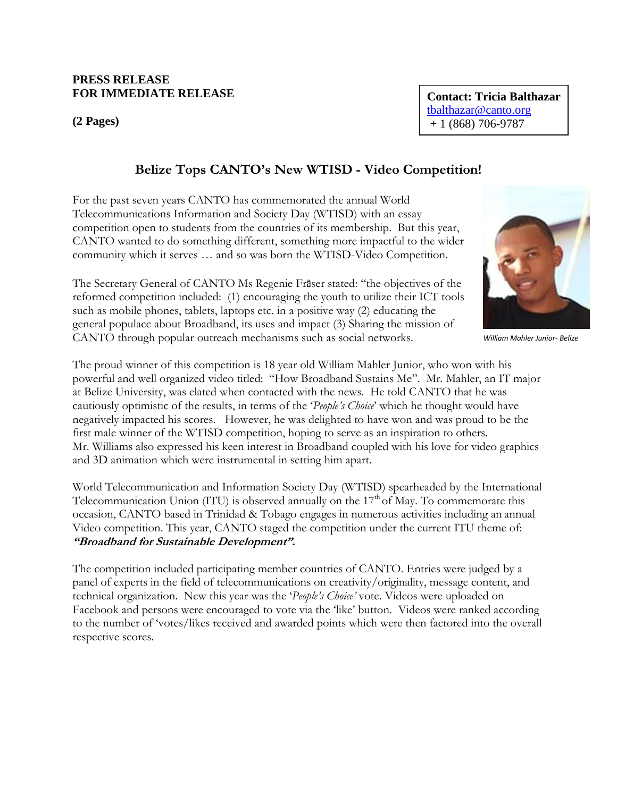## **PRESS RELEASE FOR IMMEDIATE RELEASE**

**(2 Pages)**

**Contact: Tricia Balthazar**  tbalthazar@canto.org  $+ 1 (868) 706 - 9787$ 

## **Belize Tops CANTO's New WTISD - Video Competition!**

For the past seven years CANTO has commemorated the annual World Telecommunications Information and Society Day (WTISD) with an essay competition open to students from the countries of its membership. But this year, CANTO wanted to do something different, something more impactful to the wider community which it serves … and so was born the WTISD-Video Competition.

The Secretary General of CANTO Ms Regenie Fräser stated: "the objectives of the reformed competition included: (1) encouraging the youth to utilize their ICT tools such as mobile phones, tablets, laptops etc. in a positive way (2) educating the general populace about Broadband, its uses and impact (3) Sharing the mission of CANTO through popular outreach mechanisms such as social networks.

The proud winner of this competition is 18 year old William Mahler Junior, who won with his powerful and well organized video titled: "How Broadband Sustains Me". Mr. Mahler, an IT major at Belize University, was elated when contacted with the news. He told CANTO that he was cautiously optimistic of the results, in terms of the "*People's Choice*" which he thought would have negatively impacted his scores. However, he was delighted to have won and was proud to be the first male winner of the WTISD competition, hoping to serve as an inspiration to others. Mr. Williams also expressed his keen interest in Broadband coupled with his love for video graphics and 3D animation which were instrumental in setting him apart.

World Telecommunication and Information Society Day (WTISD) spearheaded by the International Telecommunication Union (ITU) is observed annually on the  $17<sup>th</sup>$  of May. To commemorate this occasion, CANTO based in Trinidad & Tobago engages in numerous activities including an annual Video competition. This year, CANTO staged the competition under the current ITU theme of: **"Broadband for Sustainable Development".** 

The competition included participating member countries of CANTO. Entries were judged by a panel of experts in the field of telecommunications on creativity/originality, message content, and technical organization. New this year was the "*People's Choice'* vote. Videos were uploaded on Facebook and persons were encouraged to vote via the "like" button. Videos were ranked according to the number of "votes/likes received and awarded points which were then factored into the overall respective scores.



*William Mahler Junior- Belize*